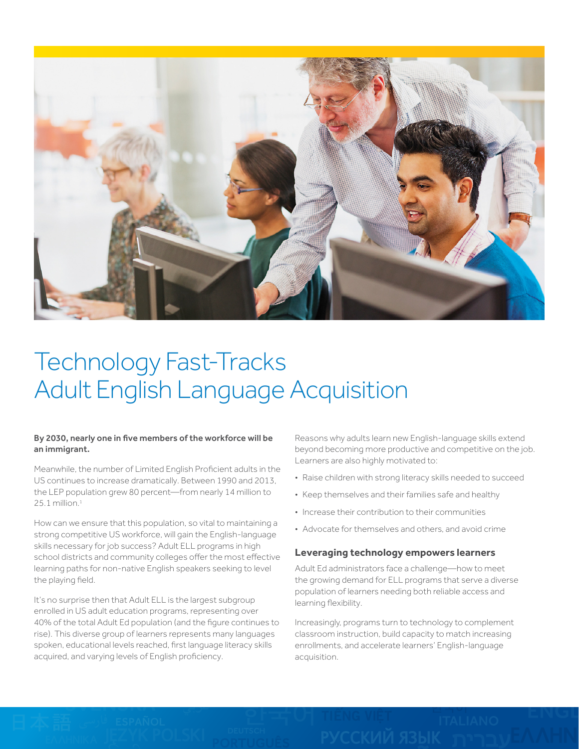

# Technology Fast-Tracks Adult English Language Acquisition

## By 2030, nearly one in five members of the workforce will be an immigrant.

Meanwhile, the number of Limited English Proficient adults in the US continues to increase dramatically. Between 1990 and 2013, the LEP population grew 80 percent—from nearly 14 million to  $25.1$  million. $1$ 

How can we ensure that this population, so vital to maintaining a strong competitive US workforce, will gain the English-language skills necessary for job success? Adult ELL programs in high school districts and community colleges offer the most effective learning paths for non-native English speakers seeking to level the playing field.

It's no surprise then that Adult ELL is the largest subgroup enrolled in US adult education programs, representing over 40% of the total Adult Ed population (and the figure continues to rise). This diverse group of learners represents many languages spoken, educational levels reached, first language literacy skills acquired, and varying levels of English proficiency.

Reasons why adults learn new English-language skills extend beyond becoming more productive and competitive on the job. Learners are also highly motivated to:

- Raise children with strong literacy skills needed to succeed
- Keep themselves and their families safe and healthy
- Increase their contribution to their communities
- Advocate for themselves and others, and avoid crime

## **Leveraging technology empowers learners**

Adult Ed administrators face a challenge—how to meet the growing demand for ELL programs that serve a diverse population of learners needing both reliable access and learning flexibility.

Increasingly, programs turn to technology to complement classroom instruction, build capacity to match increasing enrollments, and accelerate learners' English-language acquisition.